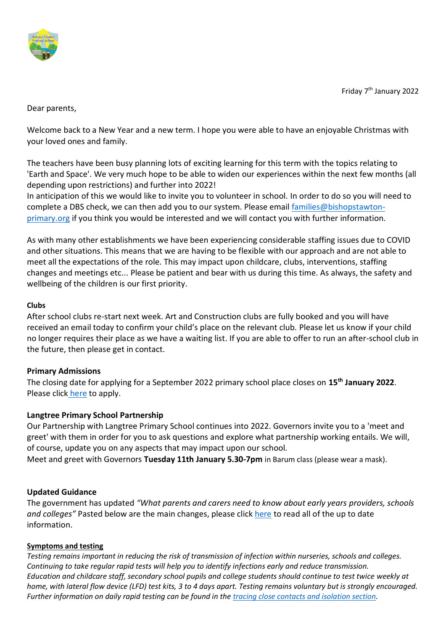

Friday 7<sup>th</sup> January 2022

Dear parents,

Welcome back to a New Year and a new term. I hope you were able to have an enjoyable Christmas with your loved ones and family.

The teachers have been busy planning lots of exciting learning for this term with the topics relating to 'Earth and Space'. We very much hope to be able to widen our experiences within the next few months (all depending upon restrictions) and further into 2022!

In anticipation of this we would like to invite you to volunteer in school. In order to do so you will need to complete a DBS check, we can then add you to our system. Please email [families@bishopstawton](mailto:families@bishopstawton-primary.org)[primary.org](mailto:families@bishopstawton-primary.org) if you think you would be interested and we will contact you with further information.

As with many other establishments we have been experiencing considerable staffing issues due to COVID and other situations. This means that we are having to be flexible with our approach and are not able to meet all the expectations of the role. This may impact upon childcare, clubs, interventions, staffing changes and meetings etc... Please be patient and bear with us during this time. As always, the safety and wellbeing of the children is our first priority.

## **Clubs**

After school clubs re-start next week. Art and Construction clubs are fully booked and you will have received an email today to confirm your child's place on the relevant club. Please let us know if your child no longer requires their place as we have a waiting list. If you are able to offer to run an after-school club in the future, then please get in contact.

# **Primary Admissions**

The closing date for applying for a September 2022 primary school place closes on **15th January 2022**. Please click [here](https://www.devon.gov.uk/educationandfamilies/school-information/apply-for-a-school-place/apply-for-a-primary-school-place) to apply.

# **Langtree Primary School Partnership**

Our Partnership with Langtree Primary School continues into 2022. Governors invite you to a 'meet and greet' with them in order for you to ask questions and explore what partnership working entails. We will, of course, update you on any aspects that may impact upon our school.

Meet and greet with Governors **Tuesday 11th January 5.30-7pm** in Barum class (please wear a mask).

### **Updated Guidance**

The government has updated *"What parents and carers need to know about early years providers, schools and colleges"* Pasted below are the main changes, please click [here](https://www.gov.uk/government/publications/what-parents-and-carers-need-to-know-about-early-years-providers-schools-and-colleges-during-the-coronavirus-covid-19-outbreak/step-4-update-what-parents-and-carers-need-to-know-about-early-years-providers-schools-and-colleges) to read all of the up to date information.

### **Symptoms and testing**

*Testing remains important in reducing the risk of transmission of infection within nurseries, schools and colleges. Continuing to take regular rapid tests will help you to identify infections early and reduce transmission. Education and childcare staff, secondary school pupils and college students should continue to test twice weekly at home, with lateral flow device (LFD) test kits, 3 to 4 days apart. Testing remains voluntary but is strongly encouraged. Further information on daily rapid testing can be found in the [tracing close contacts and isolation section.](https://www.gov.uk/government/publications/what-parents-and-carers-need-to-know-about-early-years-providers-schools-and-colleges-during-the-coronavirus-covid-19-outbreak/step-4-update-what-parents-and-carers-need-to-know-about-early-years-providers-schools-and-colleges#tracing-close-contacts-and-isolation)*